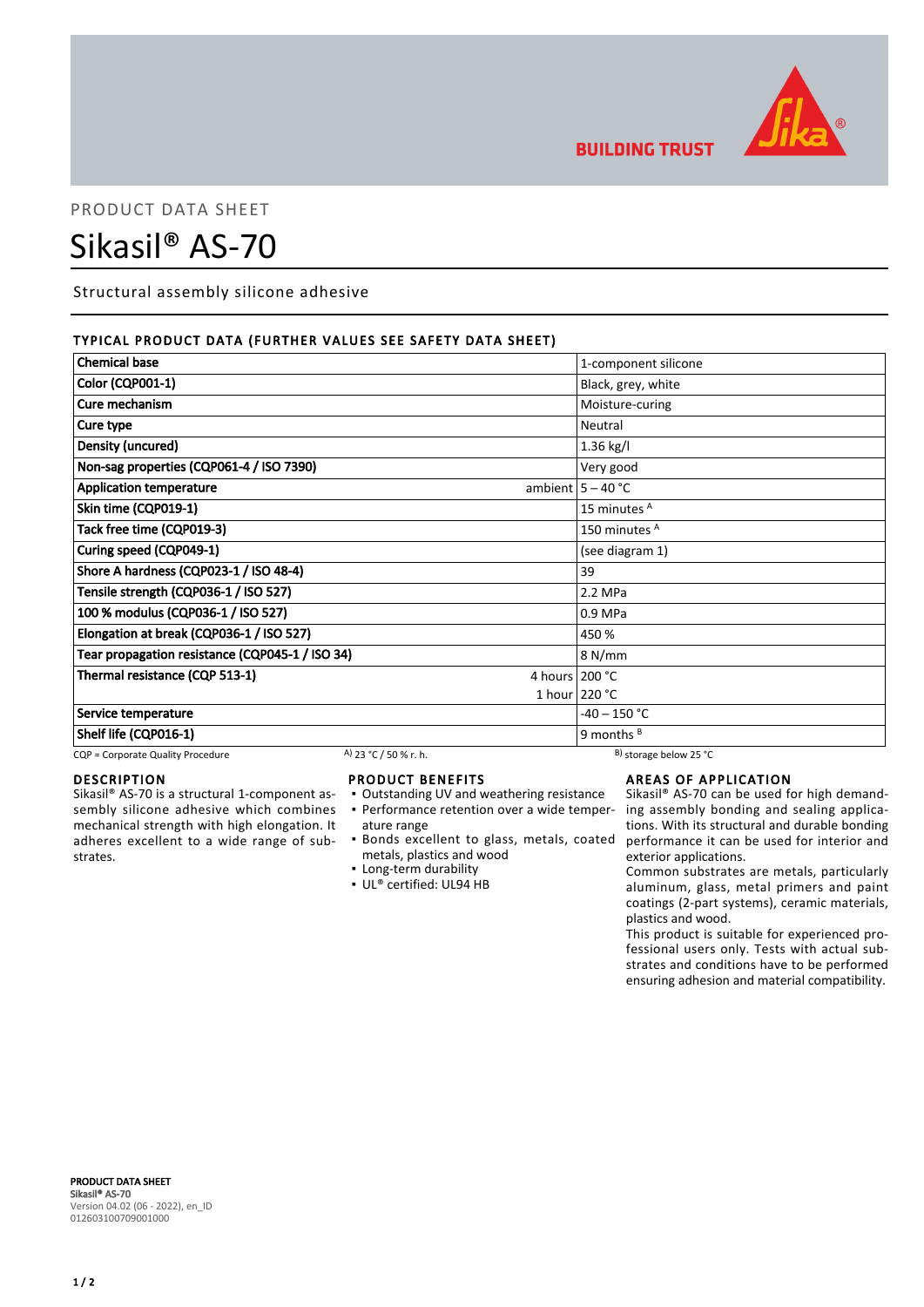

**BUILDING TRUST** 

# PRODUCT DATA SHEET

# Sikasil® AS-70

Structural assembly silicone adhesive

# TYPICAL PRODUCT DATA (FURTHER VALUES SEE SAFETY DATA SHEET)

| <b>Chemical base</b>                            |                       |                 | 1-component silicone         |
|-------------------------------------------------|-----------------------|-----------------|------------------------------|
| <b>Color (CQP001-1)</b>                         |                       |                 | Black, grey, white           |
| Cure mechanism                                  |                       | Moisture-curing |                              |
| Cure type                                       |                       |                 | Neutral                      |
| Density (uncured)                               |                       | $1.36$ kg/l     |                              |
| Non-sag properties (CQP061-4 / ISO 7390)        |                       | Very good       |                              |
| <b>Application temperature</b>                  |                       |                 | ambient $5 - 40$ °C          |
| Skin time (CQP019-1)                            |                       |                 | 15 minutes <sup>A</sup>      |
| Tack free time (CQP019-3)                       |                       |                 | 150 minutes <sup>A</sup>     |
| Curing speed (CQP049-1)                         |                       |                 | (see diagram 1)              |
| Shore A hardness (CQP023-1 / ISO 48-4)          |                       | 39              |                              |
| Tensile strength (CQP036-1 / ISO 527)           |                       | 2.2 MPa         |                              |
| 100 % modulus (CQP036-1 / ISO 527)              |                       | 0.9 MPa         |                              |
| Elongation at break (CQP036-1 / ISO 527)        |                       | 450 %           |                              |
| Tear propagation resistance (CQP045-1 / ISO 34) |                       |                 | 8 N/mm                       |
| Thermal resistance (CQP 513-1)                  |                       | 4 hours 200 °C  |                              |
|                                                 |                       |                 | 1 hour $220 °C$              |
| Service temperature                             |                       |                 | -40 – 150 °C                 |
| Shelf life (CQP016-1)                           |                       | 9 months $B$    |                              |
| CQP = Corporate Quality Procedure               | A) 23 °C / 50 % r. h. |                 | $^{B}$ ) storage below 25 °C |

#### DESCRIPTION

Sikasil® AS-70 is a structural 1-component assembly silicone adhesive which combines mechanical strength with high elongation. It adheres excellent to a wide range of substrates.

## PRODUCT BENEFITS

- Outstanding UV and weathering resistance ature range
- Bonds excellent to glass, metals, coated metals, plastics and wood
- Long-term durability
- UL® certified: UL94 HB

# AREAS OF APPLICATION

• Performance retention over a wide temper- ing assembly bonding and sealing applica-Sikasil® AS-70 can be used for high demandtions. With its structural and durable bonding performance it can be used for interior and exterior applications.

Common substrates are metals, particularly aluminum, glass, metal primers and paint coatings (2-part systems), ceramic materials, plastics and wood.

This product is suitable for experienced professional users only. Tests with actual substrates and conditions have to be performed ensuring adhesion and material compatibility.